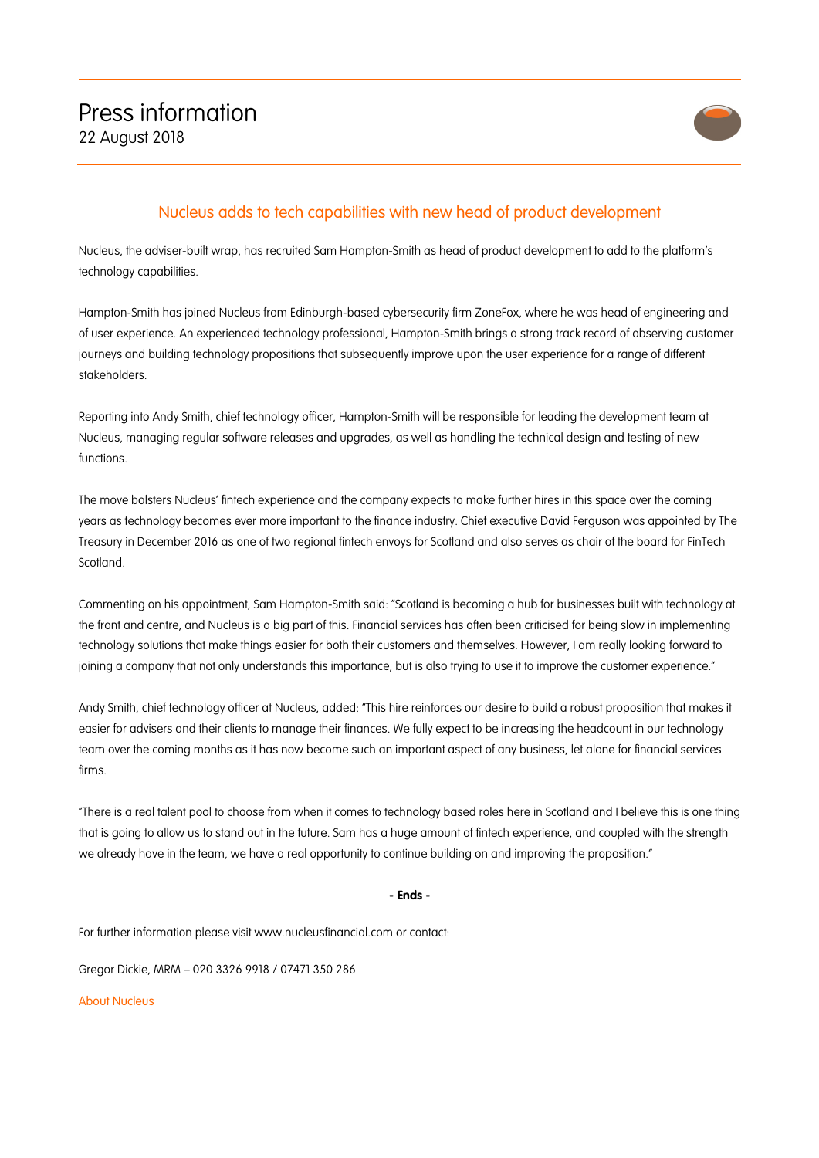

## Nucleus adds to tech capabilities with new head of product development

Nucleus, the adviser-built wrap, has recruited Sam Hampton-Smith as head of product development to add to the platform's technology capabilities.

Hampton-Smith has joined Nucleus from Edinburgh-based cybersecurity firm ZoneFox, where he was head of engineering and of user experience. An experienced technology professional, Hampton-Smith brings a strong track record of observing customer journeys and building technology propositions that subsequently improve upon the user experience for a range of different stakeholders.

Reporting into Andy Smith, chief technology officer, Hampton-Smith will be responsible for leading the development team at Nucleus, managing regular software releases and upgrades, as well as handling the technical design and testing of new functions.

The move bolsters Nucleus' fintech experience and the company expects to make further hires in this space over the coming years as technology becomes ever more important to the finance industry. Chief executive David Ferguson was appointed by The Treasury in December 2016 as one of two regional fintech envoys for Scotland and also serves as chair of the board for FinTech Scotland.

Commenting on his appointment, Sam Hampton-Smith said: "Scotland is becoming a hub for businesses built with technology at the front and centre, and Nucleus is a big part of this. Financial services has often been criticised for being slow in implementing technology solutions that make things easier for both their customers and themselves. However, I am really looking forward to joining a company that not only understands this importance, but is also trying to use it to improve the customer experience."

Andy Smith, chief technology officer at Nucleus, added: "This hire reinforces our desire to build a robust proposition that makes it easier for advisers and their clients to manage their finances. We fully expect to be increasing the headcount in our technology team over the coming months as it has now become such an important aspect of any business, let alone for financial services firms.

"There is a real talent pool to choose from when it comes to technology based roles here in Scotland and I believe this is one thing that is going to allow us to stand out in the future. Sam has a huge amount of fintech experience, and coupled with the strength we already have in the team, we have a real opportunity to continue building on and improving the proposition."

## **- Ends -**

For further information please visit www.nucleusfinancial.com or contact:

Gregor Dickie, MRM – 020 3326 9918 / 07471 350 286

About Nucleus